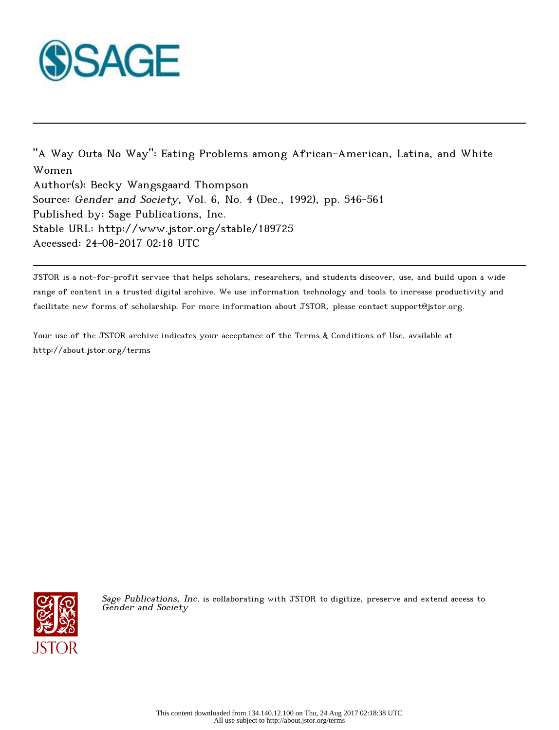

"A Way Outa No Way": Eating Problems among African-American, Latina, and White Women Author(s): Becky Wangsgaard Thompson Source: Gender and Society, Vol. 6, No. 4 (Dec., 1992), pp. 546-561 Published by: Sage Publications, Inc. Stable URL: http://www.jstor.org/stable/189725 Accessed: 24-08-2017 02:18 UTC

JSTOR is a not-for-profit service that helps scholars, researchers, and students discover, use, and build upon a wide range of content in a trusted digital archive. We use information technology and tools to increase productivity and facilitate new forms of scholarship. For more information about JSTOR, please contact support@jstor.org.

Your use of the JSTOR archive indicates your acceptance of the Terms & Conditions of Use, available at http://about.jstor.org/terms



Sage Publications, Inc. is collaborating with JSTOR to digitize, preserve and extend access to Gender and Society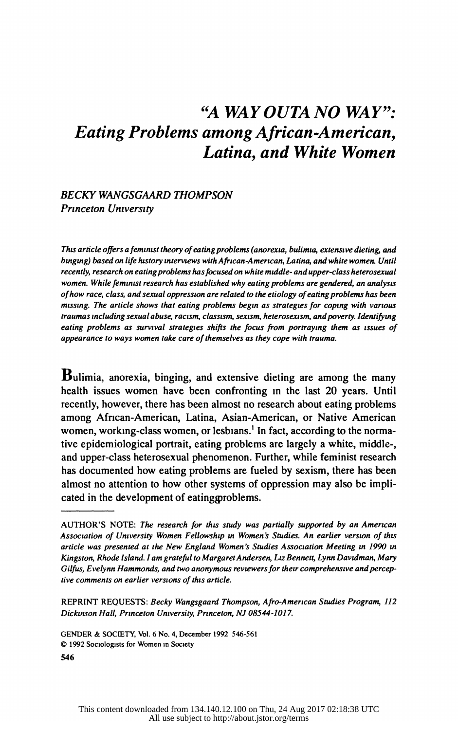# "A WAY OUTA NO WAY": Eating Problems among African-American, Latina, and White Women

## BECKY WANGSGAARD THOMPSON Princeton University

This article offers a feminist theory of eating problems (anorexia, bulimia, extensive dieting, and binging) based on life history interviews with African-American, Latina, and white women. Until recently, research on eating problems has focused on white middle- and upper-class heterosexual women. While feminist research has established why eating problems are gendered, an analysis of how race, class, and sexual oppression are related to the etiology of eating problems has been missing. The article shows that eating problems begin as strategies for coping with various traumas including sexual abuse, racism, classism, sexism, heterosexism, andpoverty. Identifying eating problems as survival strategies shifts the focus from portraying them as issues of appearance to ways women take care of themselves as they cope with trauma

 $B$ ulimia, anorexia, binging, and extensive dieting are among the many health issues women have been confronting in the last 20 years. Until recently, however, there has been almost no research about eating problems among African-American, Latina, Asian-American, or Native American women, working-class women, or lesbians.<sup>1</sup> In fact, according to the norma tive epidemiological portrait, eating problems are largely a white, middle-, and upper-class heterosexual phenomenon. Further, while feminist research has documented how eating problems are fueled by sexism, there has been almost no attention to how other systems of oppression may also be impli cated in the development of eating problems.

 GENDER & SOCIETY, Vol. 6 No. 4, December 1992 546-561 ? 1992 Sociologists for Women in Society

AUTHOR'S NOTE: The research for this study was partially supported by an American Assoctation of University Women Fellowship in Women's Studies. An earlier version of this article was presented at the New England Women's Studies Association Meeting in 1990 m Kingston, Rhode Island. I am grateful to Margaret Andersen, Liz Bennett, Lynn Davidman, Mary Gilfus, Evelynn Hammonds, and two anonymous reviewers for their comprehensive and percep tive comments on earlier versions of this article.

REPRINT REQUESTS: Becky Wangsgaard Thompson, Afro-American Studies Program, 112 Dickmson Hall, Prmceton University, Prnceton, NJ 08544-1017.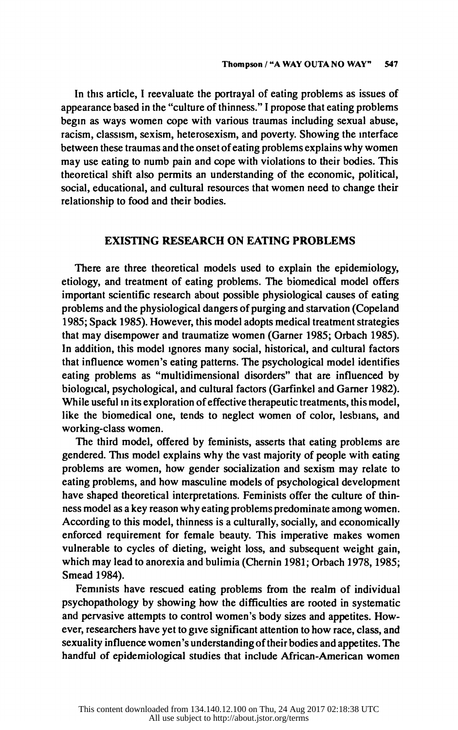In this article, I reevaluate the portrayal of eating problems as issues of appearance based in the "culture of thinness." I propose that eating problems begin as ways women cope with various traumas including sexual abuse, racism, classism, sexism, heterosexism, and poverty. Showing the interface between these traumas and the onset of eating problems explains why women may use eating to numb pain and cope with violations to their bodies. This theoretical shift also permits an understanding of the economic, political, social, educational, and cultural resources that women need to change their relationship to food and their bodies.

## EXISTING RESEARCH ON EATING PROBLEMS

 There are three theoretical models used to explain the epidemiology, etiology, and treatment of eating problems. The biomedical model offers important scientific research about possible physiological causes of eating problems and the physiological dangers of purging and starvation (Copeland 1985; Spack 1985). However, this model adopts medical treatment strategies that may disempower and traumatize women (Garner 1985; Orbach 1985). In addition, this model ignores many social, historical, and cultural factors that influence women's eating patterns. The psychological model identifies eating problems as "multidimensional disorders" that are influenced by biological, psychological, and cultural factors (Garfinkel and Gamer 1982). While useful in its exploration of effective therapeutic treatments, this model, like the biomedical one, tends to neglect women of color, lesbians, and working-class women.

 The third model, offered by feminists, asserts that eating problems are gendered. This model explains why the vast majority of people with eating problems are women, how gender socialization and sexism may relate to eating problems, and how masculine models of psychological development have shaped theoretical interpretations. Feminists offer the culture of thin ness model as a key reason why eating problems predominate among women. According to this model, thinness is a culturally, socially, and economically enforced requirement for female beauty. This imperative makes women vulnerable to cycles of dieting, weight loss, and subsequent weight gain, which may lead to anorexia and bulimia (Chernin 1981; Orbach 1978, 1985; Smead 1984).

 Feminists have rescued eating problems from the realm of individual psychopathology by showing how the difficulties are rooted in systematic and pervasive attempts to control women's body sizes and appetites. How ever, researchers have yet to give significant attention to how race, class, and sexuality influence women's understanding of their bodies and appetites. The handful of epidemiological studies that include African-American women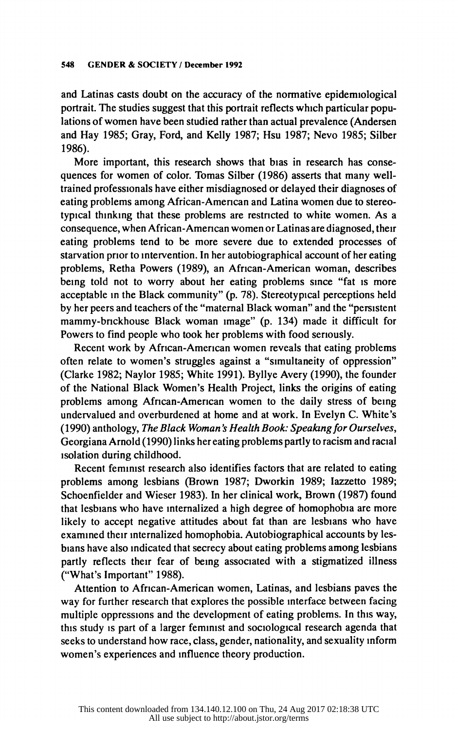and Latinas casts doubt on the accuracy of the normative epidemiological portrait. The studies suggest that this portrait reflects which particular popu lations of women have been studied rather than actual prevalence (Andersen and Hay 1985; Gray, Ford, and Kelly 1987; Hsu 1987; Nevo 1985; Silber 1986).

 More important, this research shows that bias in research has conse quences for women of color. Tomas Silber (1986) asserts that many well trained professionals have either misdiagnosed or delayed their diagnoses of eating problems among African-Amencan and Latina women due to stereo typical thinking that these problems are restrcted to white women. As a consequence, when African-Amencan women or Latinas are diagnosed, their eating problems tend to be more severe due to extended processes of starvation prior to intervention. In her autobiographical account of her eating problems, Retha Powers (1989), an African-American woman, describes being told not to worry about her eating problems since "fat is more acceptable in the Black community" (p. 78). Stereotypical perceptions held by her peers and teachers of the "maternal Black woman" and the "persistent mammy-bnckhouse Black woman image" (p. 134) made it difficult for Powers to find people who took her problems with food seriously.

 Recent work by African-American women reveals that eating problems often relate to women's struggles against a "simultaneity of oppression" (Clarke 1982; Naylor 1985; White 1991). Byllye Avery (1990), the founder of the National Black Women's Health Project, links the origins of eating problems among Afrcan-American women to the daily stress of being undervalued and overburdened at home and at work. In Evelyn C. White's (1990) anthology, The Black Woman's Health Book: Speaking for Ourselves, Georgiana Arnold (1990) links her eating problems partly to racism and racial isolation during childhood.

 Recent feminist research also identifies factors that are related to eating problems among lesbians (Brown 1987; Dworkin 1989; Iazzetto 1989; Schoenfielder and Wieser 1983). In her clinical work, Brown (1987) found that lesbians who have internalized a high degree of homophobia are more likely to accept negative attitudes about fat than are lesbians who have examined their internalized homophobia. Autobiographical accounts by les bians have also indicated that secrecy about eating problems among lesbians partly reflects their fear of being associated with a stigmatized illness ("What's Important" 1988).

 Attention to African-American women, Latinas, and lesbians paves the way for further research that explores the possible interface between facing multiple oppressions and the development of eating problems. In this way, this study is part of a larger feminist and sociological research agenda that seeks to understand how race, class, gender, nationality, and sexuality inform women's experiences and influence theory production.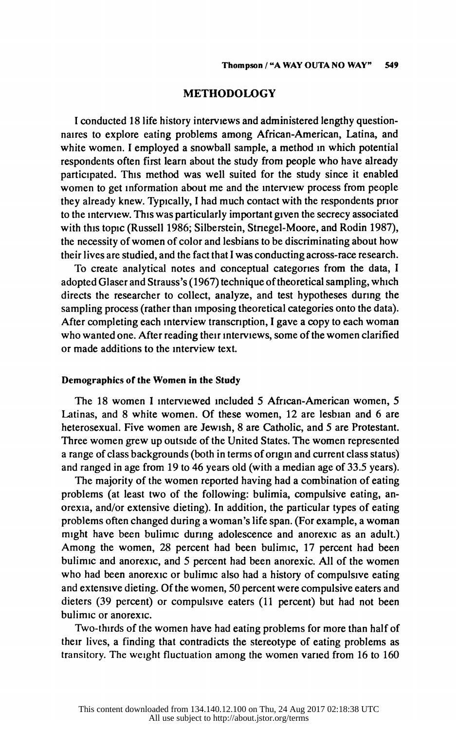## METHODOLOGY

 I conducted 18 life history interviews and administered lengthy question naires to explore eating problems among African-American, Latina, and white women. I employed a snowball sample, a method in which potential respondents often first learn about the study from people who have already participated. This method was well suited for the study since it enabled women to get information about me and the interview process from people they already knew. Typically, I had much contact with the respondents prior to the interview. This was particularly important given the secrecy associated with this topic (Russell 1986; Silberstein, Striegel-Moore, and Rodin 1987), the necessity of women of color and lesbians to be discriminating about how their lives are studied, and the fact that I was conducting across-race research.

 To create analytical notes and conceptual categories from the data, I adopted Glaser and Strauss's (1967) technique of theoretical sampling, which directs the researcher to collect, analyze, and test hypotheses during the sampling process (rather than imposing theoretical categories onto the data). After completing each interview transcription, I gave a copy to each woman who wanted one. After reading their interviews, some of the women clarified or made additions to the interview text.

## Demographics of the Women in the Study

 The 18 women I interviewed included 5 African-American women, 5 Latinas, and 8 white women. Of these women, 12 are lesbian and 6 are heterosexual. Five women are Jewish, 8 are Catholic, and 5 are Protestant. Three women grew up outside of the United States. The women represented a range of class backgrounds (both in terms of origin and current class status) and ranged in age from 19 to 46 years old (with a median age of 33.5 years).

 The majority of the women reported having had a combination of eating problems (at least two of the following: bulimia, compulsive eating, an orexia, and/or extensive dieting). In addition, the particular types of eating problems often changed during a woman's life span. (For example, a woman might have been bulimic during adolescence and anorexic as an adult.) Among the women, 28 percent had been bulimic, 17 percent had been bulimic and anorexic, and 5 percent had been anorexic. All of the women who had been anorexic or bulimic also had a history of compulsive eating and extensive dieting. Of the women, 50 percent were compulsive eaters and dieters (39 percent) or compulsive eaters (11 percent) but had not been bulimic or anorexic.

 Two-thirds of the women have had eating problems for more than half of their lives, a finding that contradicts the stereotype of eating problems as transitory. The weight fluctuation among the women varied from 16 to 160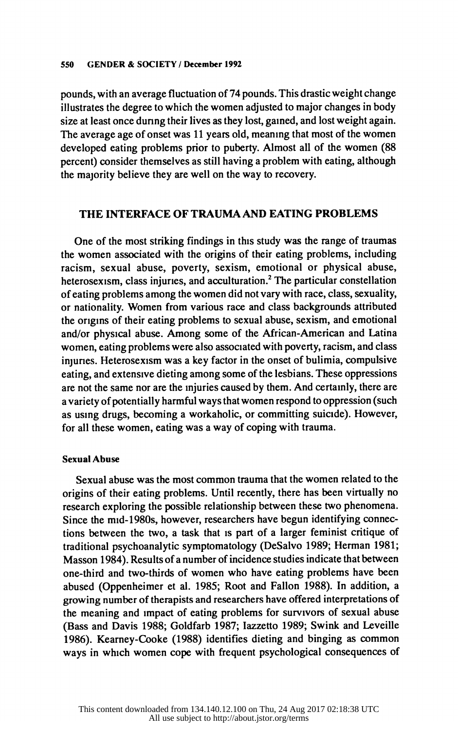pounds, with an average fluctuation of 74 pounds. This drastic weight change illustrates the degree to which the women adjusted to major changes in body size at least once dunng their lives as they lost, gained, and lost weight again. The average age of onset was 11 years old, meaning that most of the women developed eating problems prior to puberty. Almost all of the women (88 percent) consider themselves as still having a problem with eating, although the majority believe they are well on the way to recovery.

## THE INTERFACE OF TRAUMA AND EATING PROBLEMS

 One of the most striking findings in this study was the range of traumas the women associated with the origins of their eating problems, including racism, sexual abuse, poverty, sexism, emotional or physical abuse, heterosexism, class injuries, and acculturation.<sup>2</sup> The particular constellation of eating problems among the women did not vary with race, class, sexuality, or nationality. Women from various race and class backgrounds attributed the origins of their eating problems to sexual abuse, sexism, and emotional and/or physical abuse. Among some of the African-American and Latina women, eating problems were also associated with poverty, racism, and class injures. Heterosexism was a key factor in the onset of bulimia, compulsive eating, and extensive dieting among some of the lesbians. These oppressions are not the same nor are the injuries caused by them. And certainly, there are a variety of potentially harmful ways that women respond to oppression (such as using drugs, becoming a workaholic, or committing suicide). However, for all these women, eating was a way of coping with trauma.

#### Sexual Abuse

 Sexual abuse was the most common trauma that the women related to the origins of their eating problems. Until recently, there has been virtually no research exploring the possible relationship between these two phenomena. Since the mid-1980s, however, researchers have begun identifying connec tions between the two, a task that is part of a larger feminist critique of traditional psychoanalytic symptomatology (DeSalvo 1989; Herman 1981; Masson 1984). Results of a number of incidence studies indicate that between one-third and two-thirds of women who have eating problems have been abused (Oppenheimer et al. 1985; Root and Fallon 1988). In addition, a growing number of therapists and researchers have offered interpretations of the meaning and impact of eating problems for survivors of sexual abuse (Bass and Davis 1988; Goldfarb 1987; Iazzetto 1989; Swink and Leveille 1986). Kearney-Cooke (1988) identifies dieting and binging as common ways in which women cope with frequent psychological consequences of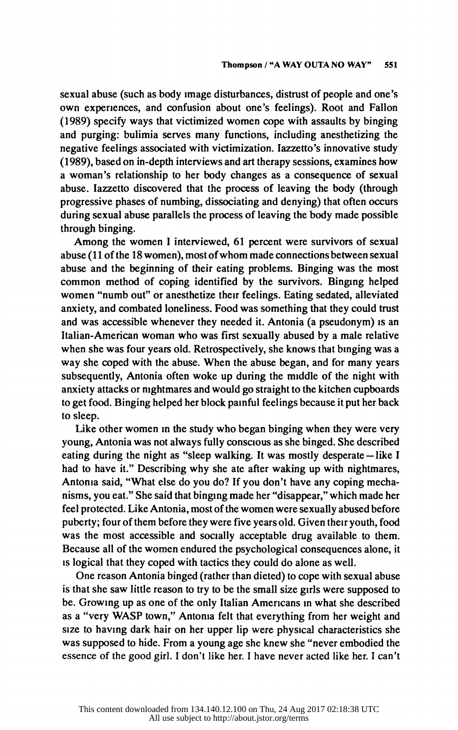sexual abuse (such as body image disturbances, distrust of people and one's own experiences, and confusion about one's feelings). Root and Fallon (1989) specify ways that victimized women cope with assaults by binging and purging: bulimia serves many functions, including anesthetizing the negative feelings associated with victimization. Iazzetto's innovative study (1989), based on in-depth interviews and art therapy sessions, examines how a woman's relationship to her body changes as a consequence of sexual abuse. Iazzetto discovered that the process of leaving the body (through progressive phases of numbing, dissociating and denying) that often occurs during sexual abuse parallels the process of leaving the body made possible through binging.

 Among the women I interviewed, 61 percent were survivors of sexual abuse (11 of the 18 women), most of whom made connections between sexual abuse and the beginning of their eating problems. Binging was the most common method of coping identified by the survivors. Binging helped women "numb out" or anesthetize their feelings. Eating sedated, alleviated anxiety, and combated loneliness. Food was something that they could trust and was accessible whenever they needed it. Antonia (a pseudonym) is an Italian-American woman who was first sexually abused by a male relative when she was four years old. Retrospectively, she knows that binging was a way she coped with the abuse. When the abuse began, and for many years subsequently, Antonia often woke up during the middle of the night with anxiety attacks or nightmares and would go straight to the kitchen cupboards to get food. Binging helped her block painful feelings because it put her back to sleep.

 Like other women in the study who began binging when they were very young, Antonia was not always fully conscious as she binged. She described eating during the night as "sleep walking. It was mostly desperate—like I had to have it." Describing why she ate after waking up with nightmares, Antonia said, "What else do you do? If you don't have any coping mecha nisms, you eat." She said that binging made her "disappear," which made her feel protected. Like Antonia, most of the women were sexually abused before puberty; four of them before they were five years old. Given their youth, food was the most accessible and socially acceptable drug available to them. Because all of the women endured the psychological consequences alone, it is logical that they coped with tactics they could do alone as well.

 One reason Antonia binged (rather than dieted) to cope with sexual abuse is that she saw little reason to try to be the small size girls were supposed to be. Growing up as one of the only Italian Americans in what she described as a "very WASP town," Antonia felt that everything from her weight and size to having dark hair on her upper lip were physical characteristics she was supposed to hide. From a young age she knew she "never embodied the essence of the good girl. I don't like her. I have never acted like her. I can't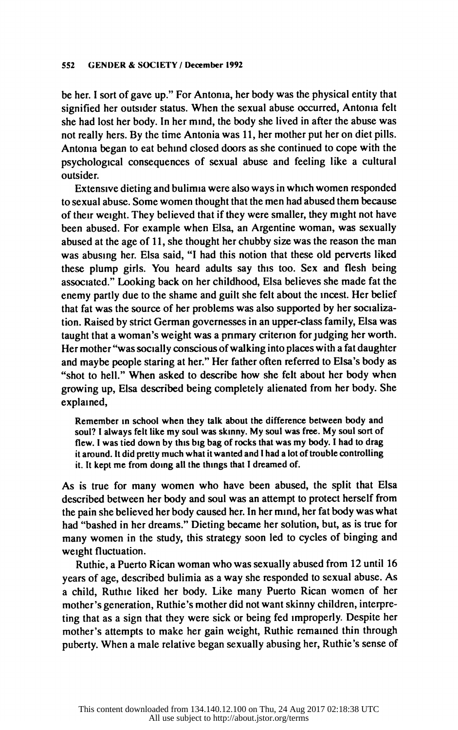be her. I sort of gave up." For Antonia, her body was the physical entity that signified her outsider status. When the sexual abuse occurred, Antonia felt she had lost her body. In her mind, the body she lived in after the abuse was not really hers. By the time Antonia was 11, her mother put her on diet pills. Antonia began to eat behind closed doors as she continued to cope with the psychological consequences of sexual abuse and feeling like a cultural outsider.

Extensive dieting and bulimia were also ways in which women responded to sexual abuse. Some women thought that the men had abused them because of their weight. They believed that if they were smaller, they might not have been abused. For example when Elsa, an Argentine woman, was sexually abused at the age of 11, she thought her chubby size was the reason the man was abusing her. Elsa said, "I had this notion that these old perverts liked these plump girls. You heard adults say this too. Sex and flesh being associated." Looking back on her childhood, Elsa believes she made fat the enemy partly due to the shame and guilt she felt about the incest. Her belief that fat was the source of her problems was also supported by her socializa tion. Raised by strict German governesses in an upper-class family, Elsa was taught that a woman's weight was a pnmary criterion for judging her worth. Her mother "was socially conscious of walking into places with a fat daughter and maybe people staring at her." Her father often referred to Elsa's body as "shot to hell." When asked to describe how she felt about her body when growing up, Elsa described being completely alienated from her body. She explained,

 Remember in school when they talk about the difference between body and soul? I always felt like my soul was skinny. My soul was free. My soul sort of flew. I was tied down by this big bag of rocks that was my body. I had to drag it around. It did pretty much what it wanted and I had a lot of trouble controlling it. It kept me from doing all the things that I dreamed of.

 As is true for many women who have been abused, the split that Elsa described between her body and soul was an attempt to protect herself from the pain she believed her body caused her. In her mind, her fat body was what had "bashed in her dreams." Dieting became her solution, but, as is true for many women in the study, this strategy soon led to cycles of binging and weight fluctuation.

 Ruthie, a Puerto Rican woman who was sexually abused from 12 until 16 years of age, described bulimia as a way she responded to sexual abuse. As a child, Ruthie liked her body. Like many Puerto Rican women of her mother's generation, Ruthie's mother did not want skinny children, interpre ting that as a sign that they were sick or being fed improperly. Despite her mother's attempts to make her gain weight, Ruthie remained thin through puberty. When a male relative began sexually abusing her, Ruthie's sense of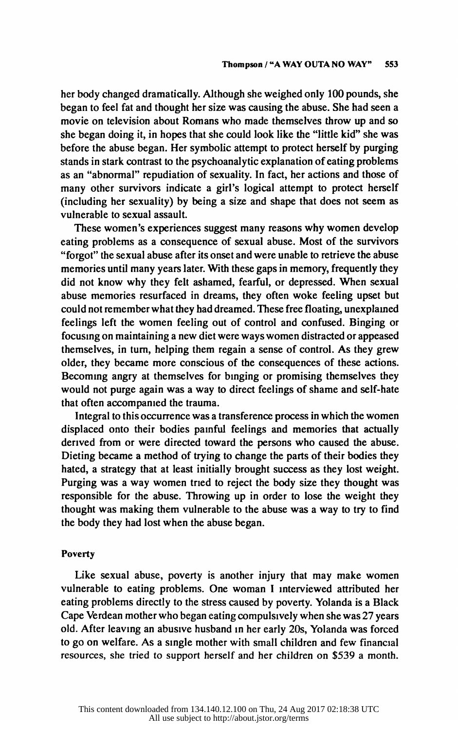her body changed dramatically. Although she weighed only 100 pounds, she began to feel fat and thought her size was causing the abuse. She had seen a movie on television about Romans who made themselves throw up and so she began doing it, in hopes that she could look like the "little kid" she was before the abuse began. Her symbolic attempt to protect herself by purging stands in stark contrast to the psychoanalytic explanation of eating problems as an "abnormal" repudiation of sexuality. In fact, her actions and those of many other survivors indicate a girl's logical attempt to protect herself (including her sexuality) by being a size and shape that does not seem as vulnerable to sexual assault.

 These women's experiences suggest many reasons why women develop eating problems as a consequence of sexual abuse. Most of the survivors "forgot" the sexual abuse after its onset and were unable to retrieve the abuse memories until many years later. With these gaps in memory, frequently they did not know why they felt ashamed, fearful, or depressed. When sexual abuse memories resurfaced in dreams, they often woke feeling upset but could not remember what they had dreamed. These free floating, unexplamed feelings left the women feeling out of control and confused. Binging or focusing on maintaining a new diet were ways women distracted or appeased themselves, in turn, helping them regain a sense of control. As they grew older, they became more conscious of the consequences of these actions. Becoming angry at themselves for binging or promising themselves they would not purge again was a way to direct feelings of shame and self-hate that often accompanied the trauma.

 Integral to this occurrence was a transference process in which the women displaced onto their bodies painful feelings and memories that actually derived from or were directed toward the persons who caused the abuse. Dieting became a method of trying to change the parts of their bodies they hated, a strategy that at least initially brought success as they lost weight. Purging was a way women tried to reject the body size they thought was responsible for the abuse. Throwing up in order to lose the weight they thought was making them vulnerable to the abuse was a way to try to find the body they had lost when the abuse began.

#### Poverty

 Like sexual abuse, poverty is another injury that may make women vulnerable to eating problems. One woman I interviewed attributed her eating problems directly to the stress caused by poverty. Yolanda is a Black Cape Verdean mother who began eating compulsively when she was 27 years old. After leaving an abusive husband in her early 20s, Yolanda was forced to go on welfare. As a single mother with small children and few financial resources, she tried to support herself and her children on \$539 a month.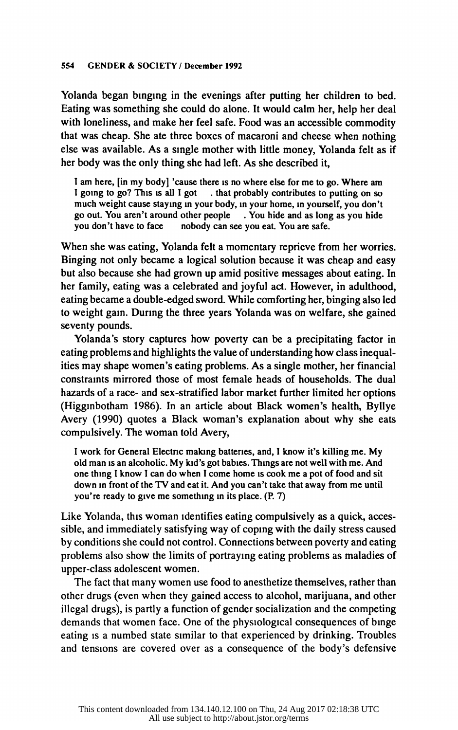Yolanda began binging in the evenings after putting her children to bed. Eating was something she could do alone. It would calm her, help her deal with loneliness, and make her feel safe. Food was an accessible commodity that was cheap. She ate three boxes of macaroni and cheese when nothing else was available. As a single mother with little money, Yolanda felt as if her body was the only thing she had left. As she described it,

 I am here, [in my body] 'cause there is no where else for me to go. Where am I going to go? This is all I got . that probably contributes to putting on so much weight cause staying in your body, in your home, in yourself, you don't go out. You aren't around other people . You hide and as long as you hide go out. You aren't around other people<br>vou don't have to face ... nobody can se nobody can see you eat. You are safe.

 When she was eating, Yolanda felt a momentary reprieve from her worries. Binging not only became a logical solution because it was cheap and easy but also because she had grown up amid positive messages about eating. In her family, eating was a celebrated and joyful act. However, in adulthood, eating became a double-edged sword. While comforting her, binging also led to weight gain. During the three years Yolanda was on welfare, she gained seventy pounds.

 Yolanda's story captures how poverty can be a precipitating factor in eating problems and highlights the value of understanding how class inequal ities may shape women's eating problems. As a single mother, her financial constraints mirrored those of most female heads of households. The dual hazards of a race- and sex-stratified labor market further limited her options (Higginbotham 1986). In an article about Black women's health, Byllye Avery (1990) quotes a Black woman's explanation about why she eats compulsively. The woman told Avery,

I work for General Electric making batteries, and, I know it's killing me. My old man is an alcoholic. My kid's got babies. Things are not well with me. And one thing I know I can do when I come home is cook me a pot of food and sit down in front of the TV and eat it. And you can't take that away from me until you're ready to give me something in its place. (P. 7)

 Like Yolanda, this woman identifies eating compulsively as a quick, acces sible, and immediately satisfying way of coping with the daily stress caused by conditions she could not control. Connections between poverty and eating problems also show the limits of portraying eating problems as maladies of upper-class adolescent women.

 The fact that many women use food to anesthetize themselves, rather than other drugs (even when they gained access to alcohol, marijuana, and other illegal drugs), is partly a function of gender socialization and the competing demands that women face. One of the physiological consequences of binge eating is a numbed state similar to that experienced by drinking. Troubles and tensions are covered over as a consequence of the body's defensive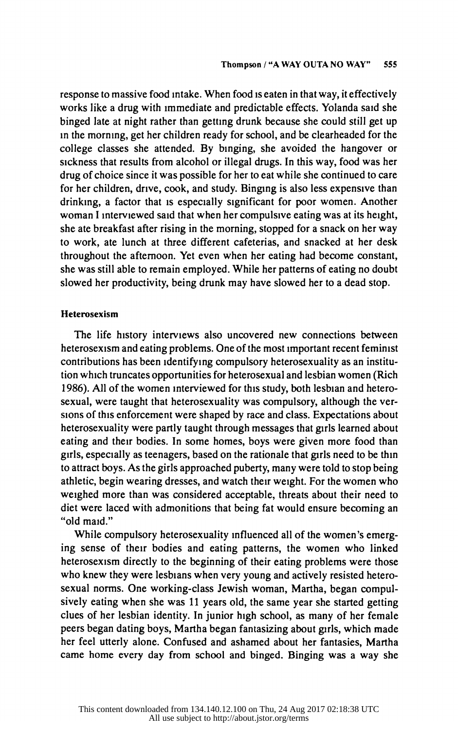response to massive food intake. When food is eaten in that way, it effectively works like a drug with immediate and predictable effects. Yolanda said she binged late at night rather than getting drunk because she could still get up in the morning, get her children ready for school, and be clearheaded for the college classes she attended. By binging, she avoided the hangover or sickness that results from alcohol or illegal drugs. In this way, food was her drug of choice since it was possible for her to eat while she continued to care for her children, drive, cook, and study. Binging is also less expensive than drinking, a factor that is especially significant for poor women. Another woman I interviewed said that when her compulsive eating was at its height, she ate breakfast after rising in the morning, stopped for a snack on her way to work, ate lunch at three different cafeterias, and snacked at her desk throughout the afternoon. Yet even when her eating had become constant, she was still able to remain employed. While her patterns of eating no doubt slowed her productivity, being drunk may have slowed her to a dead stop.

#### Heterosexism

 The life history interviews also uncovered new connections between heterosexism and eating problems. One of the most important recent feminist contributions has been identifying compulsory heterosexuality as an institu tion which truncates opportunities for heterosexual and lesbian women (Rich 1986). All of the women interviewed for this study, both lesbian and hetero sexual, were taught that heterosexuality was compulsory, although the ver sions of this enforcement were shaped by race and class. Expectations about heterosexuality were partly taught through messages that girls learned about eating and their bodies. In some homes, boys were given more food than girls, especially as teenagers, based on the rationale that girls need to be thin to attract boys. As the girls approached puberty, many were told to stop being athletic, begin wearing dresses, and watch their weight. For the women who weighed more than was considered acceptable, threats about their need to diet were laced with admonitions that being fat would ensure becoming an "old maid."

 While compulsory heterosexuality influenced all of the women's emerg ing sense of their bodies and eating patterns, the women who linked heterosexism directly to the beginning of their eating problems were those who knew they were lesbians when very young and actively resisted hetero sexual norms. One working-class Jewish woman, Martha, began compul sively eating when she was 11 years old, the same year she started getting clues of her lesbian identity. In junior high school, as many of her female peers began dating boys, Martha began fantasizing about girls, which made her feel utterly alone. Confused and ashamed about her fantasies, Martha came home every day from school and binged. Binging was a way she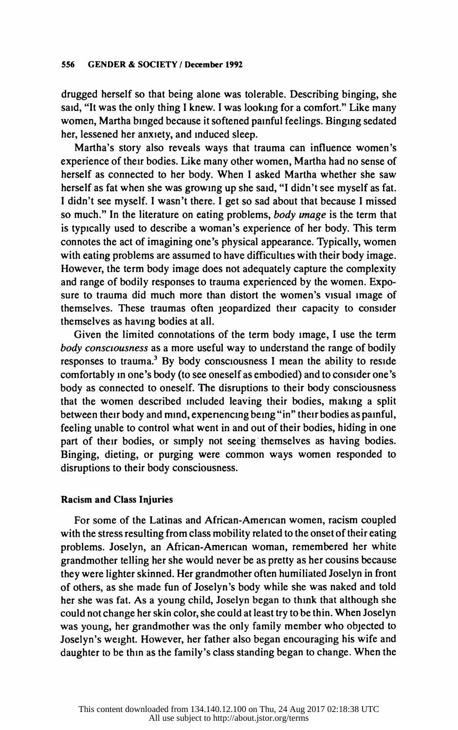#### 556 GENDER & SOCIETY / December 1992

 drugged herself so that being alone was tolerable. Describing binging, she said, "It was the only thing I knew. I was looking for a comfort." Like many women, Martha binged because it softened painful feelings. Binging sedated her, lessened her anxiety, and induced sleep.

 Martha's story also reveals ways that trauma can influence women's experience of their bodies. Like many other women, Martha had no sense of herself as connected to her body. When I asked Martha whether she saw herself as fat when she was growing up she said, "I didn't see myself as fat. I didn't see myself. I wasn't there. I get so sad about that because I missed so much." In the literature on eating problems, body unage is the term that is typically used to describe a woman's experience of her body. This term connotes the act of imagining one's physical appearance. Typically, women with eating problems are assumed to have difficulties with their body image. However, the term body image does not adequately capture the complexity and range of bodily responses to trauma experienced by the women. Expo sure to trauma did much more than distort the women's visual image of themselves. These traumas often jeopardized their capacity to consider themselves as having bodies at all.

 Given the limited connotations of the term body image, I use the term body consciousness as a more useful way to understand the range of bodily responses to trauma.<sup>3</sup> By body consciousness I mean the ability to reside comfortably in one's body (to see oneself as embodied) and to consider one's body as connected to oneself. The disruptions to their body consciousness that the women described included leaving their bodies, making a split between their body and mind, experiencing being "in" their bodies as painful, feeling unable to control what went in and out of their bodies, hiding in one part of their bodies, or simply not seeing themselves as having bodies. Binging, dieting, or purging were common ways women responded to disruptions to their body consciousness.

### Racism and Class Injuries

 For some of the Latinas and African-American women, racism coupled with the stress resulting from class mobility related to the onset of their eating problems. Joselyn, an African-American woman, remembered her white grandmother telling her she would never be as pretty as her cousins because they were lighter skinned. Her grandmother often humiliated Joselyn in front of others, as she made fun of Joselyn's body while she was naked and told her she was fat. As a young child, Joselyn began to think that although she could not change her skin color, she could at least try to be thin. When Joselyn was young, her grandmother was the only family member who objected to Joselyn's weight. However, her father also began encouraging his wife and daughter to be thin as the family's class standing began to change. When the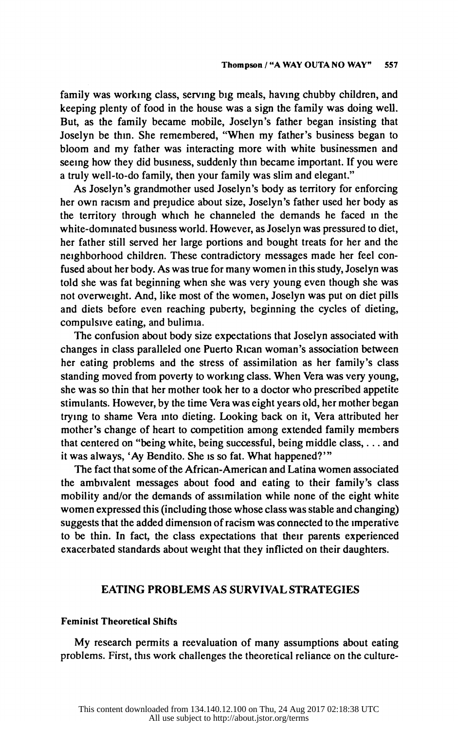family was working class, serving big meals, having chubby children, and keeping plenty of food in the house was a sign the family was doing well. But, as the family became mobile, Joselyn's father began insisting that Joselyn be thin. She remembered, "When my father's business began to bloom and my father was interacting more with white businessmen and seeing how they did business, suddenly thin became important. If you were a truly well-to-do family, then your family was slim and elegant."

 As Joselyn's grandmother used Joselyn's body as territory for enforcing her own racism and prejudice about size, Joselyn's father used her body as the territory through which he channeled the demands he faced in the white-dominated business world. However, as Joselyn was pressured to diet, her father still served her large portions and bought treats for her and the neighborhood children. These contradictory messages made her feel con fused about her body. As was true for many women in this study, Joselyn was told she was fat beginning when she was very young even though she was not overweight. And, like most of the women, Joselyn was put on diet pills and diets before even reaching puberty, beginning the cycles of dieting, compulsive eating, and bulimia.

 The confusion about body size expectations that Joselyn associated with changes in class paralleled one Puerto Rican woman's association between her eating problems and the stress of assimilation as her family's class standing moved from poverty to working class. When Vera was very young, she was so thin that her mother took her to a doctor who prescribed appetite stimulants. However, by the time Vera was eight years old, her mother began trying to shame Vera into dieting. Looking back on it, Vera attributed her mother's change of heart to competition among extended family members that centered on "being white, being successful, being middle class,... and it was always, 'Ay Bendito. She is so fat. What happened?'"

 The fact that some of the African-American and Latina women associated the ambivalent messages about food and eating to their family's class mobility and/or the demands of assimilation while none of the eight white women expressed this (including those whose class was stable and changing) suggests that the added dimension of racism was connected to the imperative to be thin. In fact, the class expectations that their parents experienced exacerbated standards about weight that they inflicted on their daughters.

## EATING PROBLEMS AS SURVIVAL STRATEGIES

#### Feminist Theoretical Shifts

 My research permits a reevaluation of many assumptions about eating problems. First, this work challenges the theoretical reliance on the culture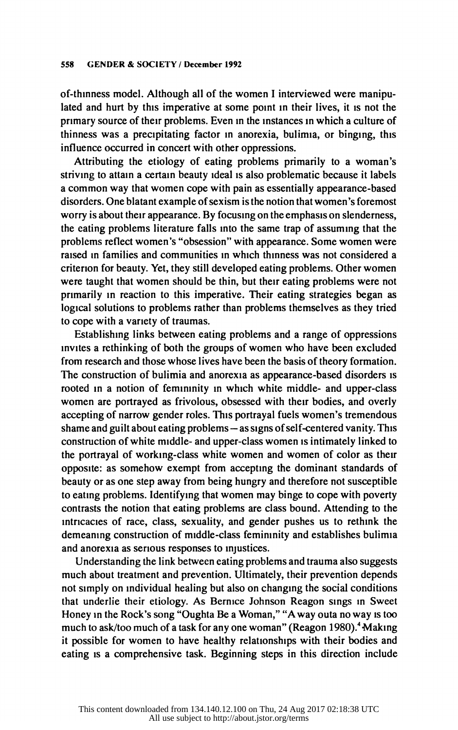of-thinness model. Although all of the women I interviewed were manipu lated and hurt by this imperative at some point in their lives, it is not the primary source of their problems. Even in the instances in which a culture of thinness was a precipitating factor in anorexia, bulimia, or binging, this influence occurred in concert with other oppressions.

 Attributing the etiology of eating problems primarily to a woman's striving to attain a certain beauty ideal is also problematic because it labels a common way that women cope with pain as essentially appearance-based disorders. One blatant example of sexism is the notion that women's foremost worry is about their appearance. By focusing on the emphasis on slenderness, the eating problems literature falls into the same trap of assuming that the problems reflect women's "obsession" with appearance. Some women were raised in families and communities in which thinness was not considered a criterion for beauty. Yet, they still developed eating problems. Other women were taught that women should be thin, but their eating problems were not primarily in reaction to this imperative. Their eating strategies began as logical solutions to problems rather than problems themselves as they tried to cope with a variety of traumas.

 Establishing links between eating problems and a range of oppressions invites a rethinking of both the groups of women who have been excluded from research and those whose lives have been the basis of theory formation. The construction of bulimia and anorexia as appearance-based disorders is rooted in a notion of femininity in which white middle- and upper-class women are portrayed as frivolous, obsessed with their bodies, and overly accepting of narrow gender roles. This portrayal fuels women's tremendous shame and guilt about eating problems - as signs of self-centered vanity. This construction of white middle- and upper-class women is intimately linked to the portrayal of working-class white women and women of color as their opposite: as somehow exempt from accepting the dominant standards of beauty or as one step away from being hungry and therefore not susceptible to eating problems. Identifying that women may binge to cope with poverty contrasts the notion that eating problems are class bound. Attending to the intricacies of race, class, sexuality, and gender pushes us to rethink the demeaning construction of middle-class femininity and establishes bulimia and anorexia as serious responses to injustices.

 Understanding the link between eating problems and trauma also suggests much about treatment and prevention. Ultimately, their prevention depends not simply on individual healing but also on changing the social conditions that underlie their etiology. As Bernice Johnson Reagon sings in Sweet Honey in the Rock's song "Oughta Be a Woman," "Away outa no way is too much to ask/too much of a task for any one woman" (Reagon 1980).<sup>4</sup> Making it possible for women to have healthy relationships with their bodies and eating is a comprehensive task. Beginning steps in this direction include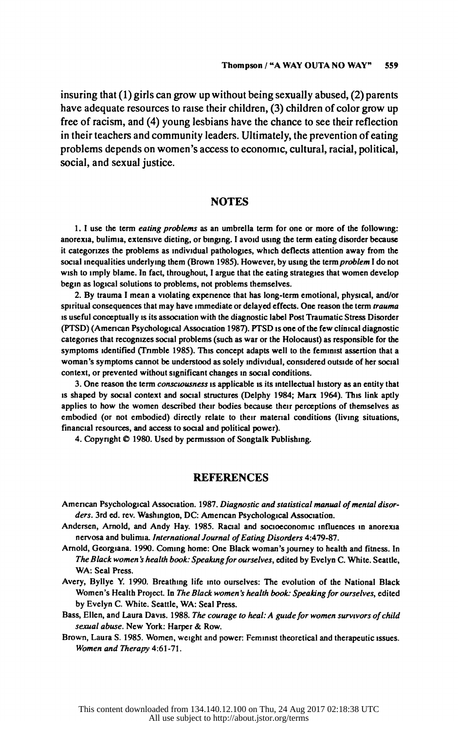insuring that (1) girls can grow up without being sexually abused, (2) parents have adequate resources to raise their children, (3) children of color grow up free of racism, and (4) young lesbians have the chance to see their reflection in their teachers and community leaders. Ultimately, the prevention of eating problems depends on women's access to economic, cultural, racial, political, social, and sexual justice.

### **NOTES**

 1. I use the term eating problems as an umbrella term for one or more of the following: anorexia, bulimia, extensive dieting, or binging. I avoid using the term eating disorder because it categorizes the problems as individual pathologies, which deflects attention away from the social inequalities underlying them (Brown 1985). However, by using the term *problem* I do not wish to Imply blame. In fact, throughout, I argue that the eating strategies that women develop begin as logical solutions to problems, not problems themselves.

 2. By trauma I mean a violating experence that has long-term emotional, physical, and/or spiritual consequences that may have immediate or delayed effects. One reason the term trauma is useful conceptually is its association with the diagnostic label Post Traumatic Stress Disorder (PTSD) (Amencan Psychological Association 1987). PTSD is one of the few clinical diagnostic categories that recognizes social problems (such as war or the Holocaust) as responsible for the symptoms identified (Trmble 1985). This concept adapts well to the feminist assertion that a woman's symptoms cannot be understood as solely individual, considered outside of her social context, or prevented without significant changes in social conditions.

 3. One reason the term consciousness is applicable is its intellectual history as an entity that is shaped by social context and social structures (Delphy 1984; Marx 1964). This link aptly applies to how the women described their bodies because their perceptions of themselves as embodied (or not embodied) directly relate to their material conditions (living situations, financial resources, and access to social and political power).

4. Copyright  $© 1980$ . Used by permission of Songtalk Publishing.

#### **REFERENCES**

- Amercan Psychological Association. 1987. Diagnostic and statistical manual of mental disor ders. 3rd ed. rev. Washington, DC: American Psychological Association.
- Andersen, Arnold, and Andy Hay. 1985. Racial and socioeconomic influences in anorexia nervosa and bulinua. International Journal of Eating Disorders 4:479-87.
- Arnold, Georglana. 1990. Coming home: One Black woman's journey to health and fitness. In The Black women's health book: Speaking for ourselves, edited by Evelyn C. White. Seattle, WA: Seal Press.
- Avery, Byllye Y. 1990. Breathing life into ourselves: The evolution of the National Black Women's Health Project. In The Black women's health book: Speaking for ourselves, edited by Evelyn C. White. Seattle, WA: Seal Press.

Bass, Ellen, and Laura Davis. 1988. The courage to heal: A guide for women survivors of child sexual abuse. New York: Harper & Row.

 Brown, Laura S. 1985. Women, weight and power: Feminist theoretical and therapeutic issues. Women and Therapy 4:61-71.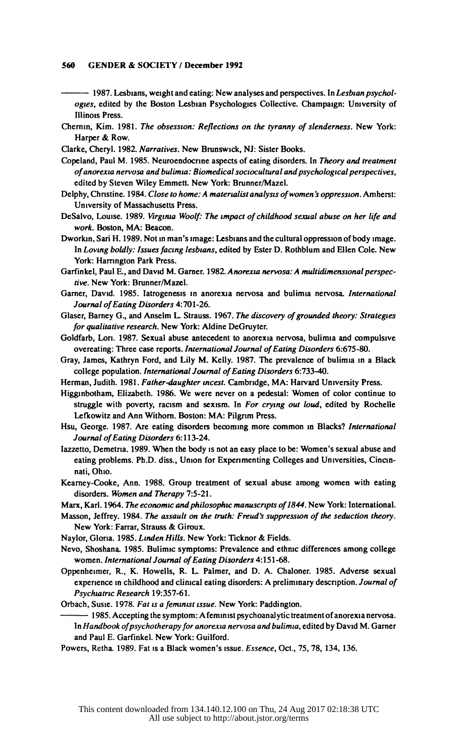#### 560 GENDER & SOCIETY / December 1992

- 1987. Lesbians, weight and eating: New analyses and perspectives. In Lesbian psychol ogles, edited by the Boston Lesbian Psychologies Collective. Champaign: University of Illinois Press.

- Chernin, Kim. 1981. The obsession: Reflections on the tyranny of slenderness. New York: Harper & Row.
- Clarke, Cheryl. 1982. Narratives. New Brunswick, NJ: Sister Books.
- Copeland, Paul M. 1985. Neuroendocrnne aspects of eating disorders. In Theory and treatment of anorexia nervosa and bulimia: Biomedical sociocultural and psychological perspectives, edited by Steven Wiley Emmett. New York: Brunner/Mazel.
- Delphy, Christine. 1984. Close to home: A materialist analysis of women's oppression. Amherst: University of Massachusetts Press.
- DeSalvo, Louise. 1989. Virginia Woolf: The impact of childhood sexual abuse on her life and work. Boston, MA: Beacon.
- Dworkin, Sari H. 1989. Not in man's image: Lesbians and the cultural oppression of body image. In Loving boldly: Issues facing lesbians, edited by Ester D. Rothblum and Ellen Cole. New York: Harrington Park Press.
- Garfinkel, Paul E., and David M. Garner. 1982. Anorexia nervosa: A multidimensional perspective. New York: Brunner/Mazel.
- Garner, David. 1985. Iatrogenesis in anorexia nervosa and bulimia nervosa. International Journal of Eating Disorders 4:701-26.
- Glaser, Barney G., and Anselm L. Strauss. 1967. The discovery of grounded theory: Strategies for qualitative research. New York: Aldine DeGruyter.
- Goldfarb, Lori. 1987. Sexual abuse antecedent to anorexia nervosa, bulimia and compulsive overeating: Three case reports. International Journal of Eating Disorders 6:675-80.
- Gray, James, Kathryn Ford, and Lily M. Kelly. 1987. The prevalence of bulimla in a Black college population. International Journal of Eating Disorders 6:733-40.
- Herman, Judith. 1981. Father-daughter incest. Cambridge, MA: Harvard University Press.
- Higginbotham, Elizabeth. 1986. We were never on a pedestal: Women of color continue to struggle with poverty, racism and sexism. In For crying out loud, edited by Rochelle Lefkowitz and Ann Withorn. Boston: MA: Pilgnm Press.
- Hsu, George. 1987. Are eating disorders becoming more common m Blacks? International Journal of Eating Disorders 6:113-24.
- lazzetto, Demetna. 1989. When the body is not an easy place to be: Women's sexual abuse and eating problems. Ph.D. diss., Union for Experimenting Colleges and Universities, Cincin nati, Ohio.
- Kearney-Cooke, Ann. 1988. Group treatment of sexual abuse among women with eating disorders. Women and Therapy 7:5-21.
- Marx, Karl. 1964. The economic and philosophic manuscripts of 1844. New York: International.
- Masson, Jeffrey. 1984. The assault on the truth: Freud's suppression of the seduction theory. New York: Farrar, Strauss & Giroux.
- Naylor, Gloria. 1985. Linden Hills. New York: Ticknor & Fields.
- Nevo, Shoshana. 1985. Bulimic symptoms: Prevalence and ethnic differences among college women. International Journal of Eating Disorders 4:151-68.
- Oppenheimer, R., K. Howells, R. L. Palmer, and D. A. Chaloner. 1985. Adverse sexual experience in childhood and clincal eating disorders: A preliminary description. Journal of Psychiatric Research 19:357-61.
- Orbach, Susie. 1978. Fat is a feminist issue. New York: Paddington.

 1985. Accepting the symptom: A feminist psychoanalytic treatment of anorexia nervosa. In Handbook of psychotherapy for anorexia nervosa and bulimia, edited by David M. Garner and Paul E. Garfinkel. New York: Guilford.

Powers, Retha. 1989. Fat is a Black women's issue. Essence, Oct., 75, 78, 134, 136.